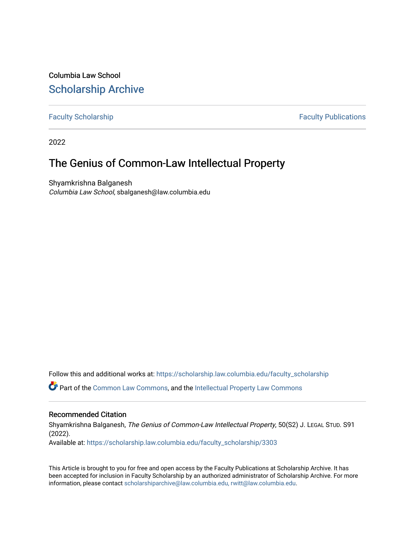Columbia Law School [Scholarship Archive](https://scholarship.law.columbia.edu/) 

[Faculty Scholarship](https://scholarship.law.columbia.edu/faculty_scholarship) **Faculty Scholarship Faculty Publications** 

2022

# The Genius of Common-Law Intellectual Property

Shyamkrishna Balganesh Columbia Law School, sbalganesh@law.columbia.edu

Follow this and additional works at: [https://scholarship.law.columbia.edu/faculty\\_scholarship](https://scholarship.law.columbia.edu/faculty_scholarship?utm_source=scholarship.law.columbia.edu%2Ffaculty_scholarship%2F3303&utm_medium=PDF&utm_campaign=PDFCoverPages)

Part of the [Common Law Commons,](https://network.bepress.com/hgg/discipline/1120?utm_source=scholarship.law.columbia.edu%2Ffaculty_scholarship%2F3303&utm_medium=PDF&utm_campaign=PDFCoverPages) and the [Intellectual Property Law Commons](https://network.bepress.com/hgg/discipline/896?utm_source=scholarship.law.columbia.edu%2Ffaculty_scholarship%2F3303&utm_medium=PDF&utm_campaign=PDFCoverPages)

# Recommended Citation

Shyamkrishna Balganesh, The Genius of Common-Law Intellectual Property, 50(S2) J. LEGAL STUD. S91 (2022).

Available at: [https://scholarship.law.columbia.edu/faculty\\_scholarship/3303](https://scholarship.law.columbia.edu/faculty_scholarship/3303?utm_source=scholarship.law.columbia.edu%2Ffaculty_scholarship%2F3303&utm_medium=PDF&utm_campaign=PDFCoverPages)

This Article is brought to you for free and open access by the Faculty Publications at Scholarship Archive. It has been accepted for inclusion in Faculty Scholarship by an authorized administrator of Scholarship Archive. For more information, please contact [scholarshiparchive@law.columbia.edu, rwitt@law.columbia.edu](mailto:scholarshiparchive@law.columbia.edu,%20rwitt@law.columbia.edu).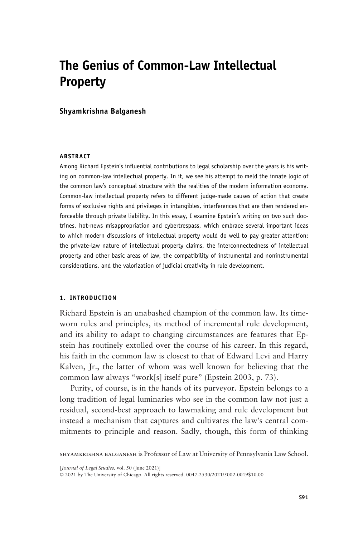# **The Genius of Common-Law Intellectual Property**

**Shyamkrishna Balganesh**

# **ABSTRACT**

Among Richard Epstein's influential contributions to legal scholarship over the years is his writing on common-law intellectual property. In it, we see his attempt to meld the innate logic of the common law's conceptual structure with the realities of the modern information economy. Common-law intellectual property refers to different judge-made causes of action that create forms of exclusive rights and privileges in intangibles, interferences that are then rendered enforceable through private liability. In this essay, I examine Epstein's writing on two such doctrines, hot-news misappropriation and cybertrespass, which embrace several important ideas to which modern discussions of intellectual property would do well to pay greater attention: the private-law nature of intellectual property claims, the interconnectedness of intellectual property and other basic areas of law, the compatibility of instrumental and noninstrumental considerations, and the valorization of judicial creativity in rule development.

### **1. INTRODUCTION**

Richard Epstein is an unabashed champion of the common law. Its timeworn rules and principles, its method of incremental rule development, and its ability to adapt to changing circumstances are features that Epstein has routinely extolled over the course of his career. In this regard, his faith in the common law is closest to that of Edward Levi and Harry Kalven, Jr., the latter of whom was well known for believing that the common law always "work[s] itself pure" (Epstein 2003, p. 73).

Purity, of course, is in the hands of its purveyor. Epstein belongs to a long tradition of legal luminaries who see in the common law not just a residual, second-best approach to lawmaking and rule development but instead a mechanism that captures and cultivates the law's central commitments to principle and reason. Sadly, though, this form of thinking

shyamkrishna balganesh is Professor of Law at University of Pennsylvania Law School.

[*Journal of Legal Studies*, vol. 50 (June 2021)]

© 2021 by The University of Chicago. All rights reserved. 0047-2530/2021/5002-0019\$10.00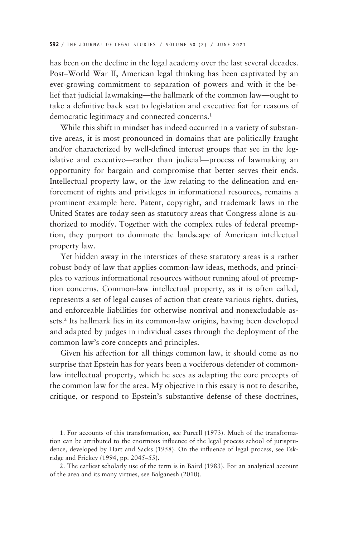has been on the decline in the legal academy over the last several decades. Post–World War II, American legal thinking has been captivated by an ever-growing commitment to separation of powers and with it the belief that judicial lawmaking—the hallmark of the common law—ought to take a definitive back seat to legislation and executive fiat for reasons of democratic legitimacy and connected concerns.<sup>1</sup>

While this shift in mindset has indeed occurred in a variety of substantive areas, it is most pronounced in domains that are politically fraught and/or characterized by well-defined interest groups that see in the legislative and executive—rather than judicial—process of lawmaking an opportunity for bargain and compromise that better serves their ends. Intellectual property law, or the law relating to the delineation and enforcement of rights and privileges in informational resources, remains a prominent example here. Patent, copyright, and trademark laws in the United States are today seen as statutory areas that Congress alone is authorized to modify. Together with the complex rules of federal preemption, they purport to dominate the landscape of American intellectual property law.

Yet hidden away in the interstices of these statutory areas is a rather robust body of law that applies common-law ideas, methods, and principles to various informational resources without running afoul of preemption concerns. Common-law intellectual property, as it is often called, represents a set of legal causes of action that create various rights, duties, and enforceable liabilities for otherwise nonrival and nonexcludable assets.2 Its hallmark lies in its common-law origins, having been developed and adapted by judges in individual cases through the deployment of the common law's core concepts and principles.

Given his affection for all things common law, it should come as no surprise that Epstein has for years been a vociferous defender of commonlaw intellectual property, which he sees as adapting the core precepts of the common law for the area. My objective in this essay is not to describe, critique, or respond to Epstein's substantive defense of these doctrines,

1. For accounts of this transformation, see Purcell (1973). Much of the transformation can be attributed to the enormous influence of the legal process school of jurisprudence, developed by Hart and Sacks (1958). On the influence of legal process, see Eskridge and Frickey (1994, pp. 2045–55).

2. The earliest scholarly use of the term is in Baird (1983). For an analytical account of the area and its many virtues, see Balganesh (2010).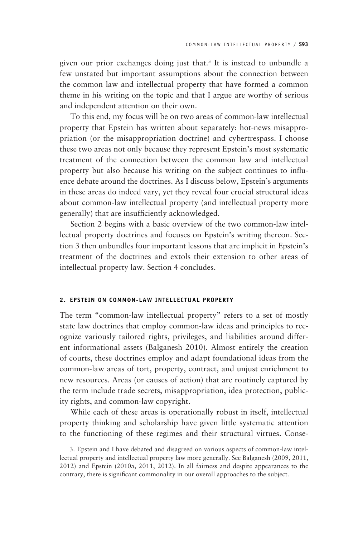given our prior exchanges doing just that.<sup>3</sup> It is instead to unbundle a few unstated but important assumptions about the connection between the common law and intellectual property that have formed a common theme in his writing on the topic and that I argue are worthy of serious and independent attention on their own.

To this end, my focus will be on two areas of common-law intellectual property that Epstein has written about separately: hot-news misappropriation (or the misappropriation doctrine) and cybertrespass. I choose these two areas not only because they represent Epstein's most systematic treatment of the connection between the common law and intellectual property but also because his writing on the subject continues to influence debate around the doctrines. As I discuss below, Epstein's arguments in these areas do indeed vary, yet they reveal four crucial structural ideas about common-law intellectual property (and intellectual property more generally) that are insufficiently acknowledged.

Section 2 begins with a basic overview of the two common-law intellectual property doctrines and focuses on Epstein's writing thereon. Section 3 then unbundles four important lessons that are implicit in Epstein's treatment of the doctrines and extols their extension to other areas of intellectual property law. Section 4 concludes.

#### **2. EPSTEIN ON COMMON-LAW INTELLECTUAL PROPERTY**

The term "common-law intellectual property" refers to a set of mostly state law doctrines that employ common-law ideas and principles to recognize variously tailored rights, privileges, and liabilities around different informational assets (Balganesh 2010). Almost entirely the creation of courts, these doctrines employ and adapt foundational ideas from the common-law areas of tort, property, contract, and unjust enrichment to new resources. Areas (or causes of action) that are routinely captured by the term include trade secrets, misappropriation, idea protection, publicity rights, and common-law copyright.

While each of these areas is operationally robust in itself, intellectual property thinking and scholarship have given little systematic attention to the functioning of these regimes and their structural virtues. Conse-

<sup>3.</sup> Epstein and I have debated and disagreed on various aspects of common-law intellectual property and intellectual property law more generally. See Balganesh (2009, 2011, 2012) and Epstein (2010a, 2011, 2012). In all fairness and despite appearances to the contrary, there is significant commonality in our overall approaches to the subject.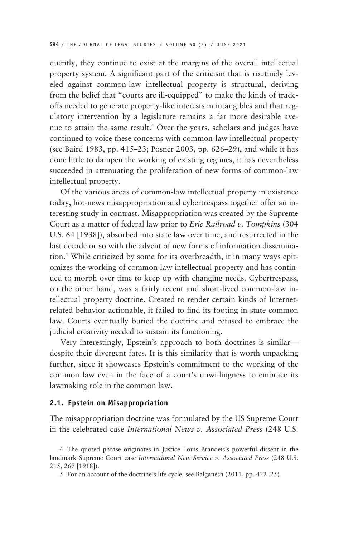quently, they continue to exist at the margins of the overall intellectual property system. A significant part of the criticism that is routinely leveled against common-law intellectual property is structural, deriving from the belief that "courts are ill-equipped" to make the kinds of tradeoffs needed to generate property-like interests in intangibles and that regulatory intervention by a legislature remains a far more desirable avenue to attain the same result.4 Over the years, scholars and judges have continued to voice these concerns with common-law intellectual property (see Baird 1983, pp. 415–23; Posner 2003, pp. 626–29), and while it has done little to dampen the working of existing regimes, it has nevertheless succeeded in attenuating the proliferation of new forms of common-law intellectual property.

Of the various areas of common-law intellectual property in existence today, hot-news misappropriation and cybertrespass together offer an interesting study in contrast. Misappropriation was created by the Supreme Court as a matter of federal law prior to *Erie Railroad v. Tompkins* (304 U.S. 64 [1938]), absorbed into state law over time, and resurrected in the last decade or so with the advent of new forms of information dissemination.5 While criticized by some for its overbreadth, it in many ways epitomizes the working of common-law intellectual property and has continued to morph over time to keep up with changing needs. Cybertrespass, on the other hand, was a fairly recent and short-lived common-law intellectual property doctrine. Created to render certain kinds of Internetrelated behavior actionable, it failed to find its footing in state common law. Courts eventually buried the doctrine and refused to embrace the judicial creativity needed to sustain its functioning.

Very interestingly, Epstein's approach to both doctrines is similar despite their divergent fates. It is this similarity that is worth unpacking further, since it showcases Epstein's commitment to the working of the common law even in the face of a court's unwillingness to embrace its lawmaking role in the common law.

#### **2.1. Epstein on Misappropriation**

The misappropriation doctrine was formulated by the US Supreme Court in the celebrated case *International News v. Associated Press* (248 U.S.

<sup>4.</sup> The quoted phrase originates in Justice Louis Brandeis's powerful dissent in the landmark Supreme Court case *International New Service v. Associated Press* (248 U.S. 215, 267 [1918]).

<sup>5.</sup> For an account of the doctrine's life cycle, see Balganesh (2011, pp. 422–25).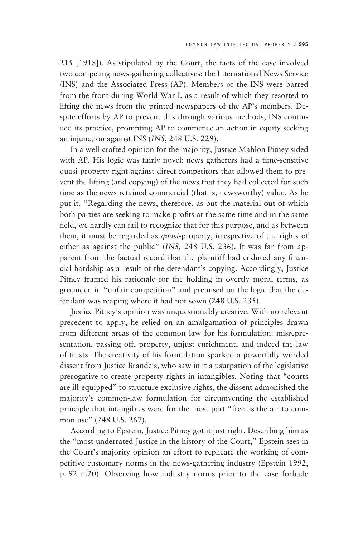215 [1918]). As stipulated by the Court, the facts of the case involved two competing news-gathering collectives: the International News Service (INS) and the Associated Press (AP). Members of the INS were barred from the front during World War I, as a result of which they resorted to lifting the news from the printed newspapers of the AP's members. Despite efforts by AP to prevent this through various methods, INS continued its practice, prompting AP to commence an action in equity seeking an injunction against INS (*INS*, 248 U.S. 229).

In a well-crafted opinion for the majority, Justice Mahlon Pitney sided with AP. His logic was fairly novel: news gatherers had a time-sensitive quasi-property right against direct competitors that allowed them to prevent the lifting (and copying) of the news that they had collected for such time as the news retained commercial (that is, newsworthy) value. As he put it, "Regarding the news, therefore, as but the material out of which both parties are seeking to make profits at the same time and in the same field, we hardly can fail to recognize that for this purpose, and as between them, it must be regarded as *quasi*-property, irrespective of the rights of either as against the public" (*INS,* 248 U.S. 236). It was far from apparent from the factual record that the plaintiff had endured any financial hardship as a result of the defendant's copying. Accordingly, Justice Pitney framed his rationale for the holding in overtly moral terms, as grounded in "unfair competition" and premised on the logic that the defendant was reaping where it had not sown (248 U.S. 235).

Justice Pitney's opinion was unquestionably creative. With no relevant precedent to apply, he relied on an amalgamation of principles drawn from different areas of the common law for his formulation: misrepresentation, passing off, property, unjust enrichment, and indeed the law of trusts. The creativity of his formulation sparked a powerfully worded dissent from Justice Brandeis, who saw in it a usurpation of the legislative prerogative to create property rights in intangibles. Noting that "courts are ill-equipped" to structure exclusive rights, the dissent admonished the majority's common-law formulation for circumventing the established principle that intangibles were for the most part "free as the air to common use" (248 U.S. 267).

According to Epstein, Justice Pitney got it just right. Describing him as the "most underrated Justice in the history of the Court," Epstein sees in the Court's majority opinion an effort to replicate the working of competitive customary norms in the news-gathering industry (Epstein 1992, p. 92 n.20). Observing how industry norms prior to the case forbade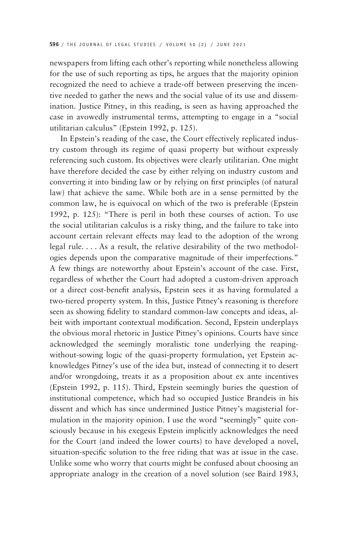newspapers from lifting each other's reporting while nonetheless allowing for the use of such reporting as tips, he argues that the majority opinion recognized the need to achieve a trade-off between preserving the incentive needed to gather the news and the social value of its use and dissemination. Justice Pitney, in this reading, is seen as having approached the case in avowedly instrumental terms, attempting to engage in a "social utilitarian calculus" (Epstein 1992, p. 125).

In Epstein's reading of the case, the Court effectively replicated industry custom through its regime of quasi property but without expressly referencing such custom. Its objectives were clearly utilitarian. One might have therefore decided the case by either relying on industry custom and converting it into binding law or by relying on first principles (of natural law) that achieve the same. While both are in a sense permitted by the common law, he is equivocal on which of the two is preferable (Epstein 1992, p. 125): "There is peril in both these courses of action. To use the social utilitarian calculus is a risky thing, and the failure to take into account certain relevant effects may lead to the adoption of the wrong legal rule. . . . As a result, the relative desirability of the two methodologies depends upon the comparative magnitude of their imperfections." A few things are noteworthy about Epstein's account of the case. First, regardless of whether the Court had adopted a custom-driven approach or a direct cost-benefit analysis, Epstein sees it as having formulated a two-tiered property system. In this, Justice Pitney's reasoning is therefore seen as showing fidelity to standard common-law concepts and ideas, albeit with important contextual modification. Second, Epstein underplays the obvious moral rhetoric in Justice Pitney's opinions. Courts have since acknowledged the seemingly moralistic tone underlying the reapingwithout-sowing logic of the quasi-property formulation, yet Epstein acknowledges Pitney's use of the idea but, instead of connecting it to desert and/or wrongdoing, treats it as a proposition about ex ante incentives (Epstein 1992, p. 115). Third, Epstein seemingly buries the question of institutional competence, which had so occupied Justice Brandeis in his dissent and which has since undermined Justice Pitney's magisterial formulation in the majority opinion. I use the word "seemingly" quite consciously because in his exegesis Epstein implicitly acknowledges the need for the Court (and indeed the lower courts) to have developed a novel, situation-specific solution to the free riding that was at issue in the case. Unlike some who worry that courts might be confused about choosing an appropriate analogy in the creation of a novel solution (see Baird 1983,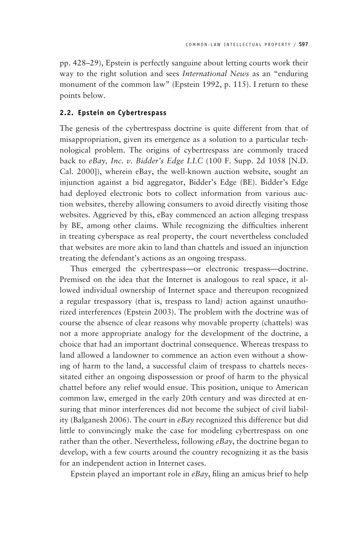pp. 428–29), Epstein is perfectly sanguine about letting courts work their way to the right solution and sees *International News* as an "enduring monument of the common law" (Epstein 1992, p. 115). I return to these points below.

# **2.2. Epstein on Cybertrespass**

The genesis of the cybertrespass doctrine is quite different from that of misappropriation, given its emergence as a solution to a particular technological problem. The origins of cybertrespass are commonly traced back to *eBay, Inc. v. Bidder's Edge LLC* (100 F. Supp. 2d 1058 [N.D. Cal. 2000]), wherein eBay, the well-known auction website, sought an injunction against a bid aggregator, Bidder's Edge (BE). Bidder's Edge had deployed electronic bots to collect information from various auction websites, thereby allowing consumers to avoid directly visiting those websites. Aggrieved by this, eBay commenced an action alleging trespass by BE, among other claims. While recognizing the difficulties inherent in treating cyberspace as real property, the court nevertheless concluded that websites are more akin to land than chattels and issued an injunction treating the defendant's actions as an ongoing trespass.

Thus emerged the cybertrespass—or electronic trespass—doctrine. Premised on the idea that the Internet is analogous to real space, it allowed individual ownership of Internet space and thereupon recognized a regular trespassory (that is, trespass to land) action against unauthorized interferences (Epstein 2003). The problem with the doctrine was of course the absence of clear reasons why movable property (chattels) was not a more appropriate analogy for the development of the doctrine, a choice that had an important doctrinal consequence. Whereas trespass to land allowed a landowner to commence an action even without a showing of harm to the land, a successful claim of trespass to chattels necessitated either an ongoing dispossession or proof of harm to the physical chattel before any relief would ensue. This position, unique to American common law, emerged in the early 20th century and was directed at ensuring that minor interferences did not become the subject of civil liability (Balganesh 2006). The court in *eBay* recognized this difference but did little to convincingly make the case for modeling cybertrespass on one rather than the other. Nevertheless, following *eBay*, the doctrine began to develop, with a few courts around the country recognizing it as the basis for an independent action in Internet cases.

Epstein played an important role in *eBay*, filing an amicus brief to help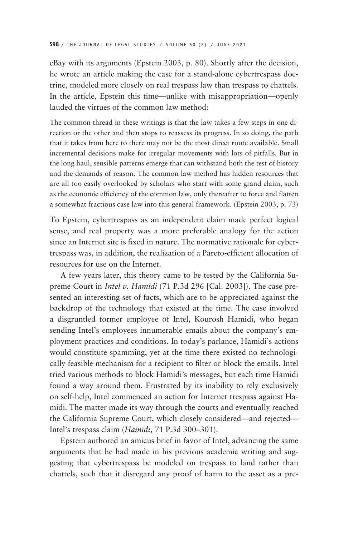eBay with its arguments (Epstein 2003, p. 80). Shortly after the decision, he wrote an article making the case for a stand-alone cybertrespass doctrine, modeled more closely on real trespass law than trespass to chattels. In the article, Epstein this time—unlike with misappropriation—openly lauded the virtues of the common law method:

The common thread in these writings is that the law takes a few steps in one direction or the other and then stops to reassess its progress. In so doing, the path that it takes from here to there may not be the most direct route available. Small incremental decisions make for irregular movements with lots of pitfalls. But in the long haul, sensible patterns emerge that can withstand both the test of history and the demands of reason. The common law method has hidden resources that are all too easily overlooked by scholars who start with some grand claim, such as the economic efficiency of the common law, only thereafter to force and flatten a somewhat fractious case law into this general framework. (Epstein 2003, p. 73)

To Epstein, cybertrespass as an independent claim made perfect logical sense, and real property was a more preferable analogy for the action since an Internet site is fixed in nature. The normative rationale for cybertrespass was, in addition, the realization of a Pareto-efficient allocation of resources for use on the Internet.

A few years later, this theory came to be tested by the California Supreme Court in *Intel v. Hamidi* (71 P.3d 296 [Cal. 2003]). The case presented an interesting set of facts, which are to be appreciated against the backdrop of the technology that existed at the time. The case involved a disgruntled former employee of Intel, Kourosh Hamidi, who began sending Intel's employees innumerable emails about the company's employment practices and conditions. In today's parlance, Hamidi's actions would constitute spamming, yet at the time there existed no technologically feasible mechanism for a recipient to filter or block the emails. Intel tried various methods to block Hamidi's messages, but each time Hamidi found a way around them. Frustrated by its inability to rely exclusively on self-help, Intel commenced an action for Internet trespass against Hamidi. The matter made its way through the courts and eventually reached the California Supreme Court, which closely considered—and rejected— Intel's trespass claim (*Hamidi*, 71 P.3d 300–301).

Epstein authored an amicus brief in favor of Intel, advancing the same arguments that he had made in his previous academic writing and suggesting that cybertrespass be modeled on trespass to land rather than chattels, such that it disregard any proof of harm to the asset as a pre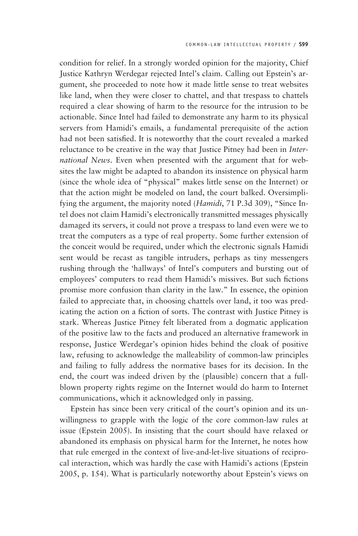condition for relief. In a strongly worded opinion for the majority, Chief Justice Kathryn Werdegar rejected Intel's claim. Calling out Epstein's argument, she proceeded to note how it made little sense to treat websites like land, when they were closer to chattel, and that trespass to chattels required a clear showing of harm to the resource for the intrusion to be actionable. Since Intel had failed to demonstrate any harm to its physical servers from Hamidi's emails, a fundamental prerequisite of the action had not been satisfied. It is noteworthy that the court revealed a marked reluctance to be creative in the way that Justice Pitney had been in *International News*. Even when presented with the argument that for websites the law might be adapted to abandon its insistence on physical harm (since the whole idea of "physical" makes little sense on the Internet) or that the action might be modeled on land, the court balked. Oversimplifying the argument, the majority noted (*Hamidi*, 71 P.3d 309), "Since Intel does not claim Hamidi's electronically transmitted messages physically damaged its servers, it could not prove a trespass to land even were we to treat the computers as a type of real property. Some further extension of the conceit would be required, under which the electronic signals Hamidi sent would be recast as tangible intruders, perhaps as tiny messengers rushing through the 'hallways' of Intel's computers and bursting out of employees' computers to read them Hamidi's missives. But such fictions promise more confusion than clarity in the law." In essence, the opinion failed to appreciate that, in choosing chattels over land, it too was predicating the action on a fiction of sorts. The contrast with Justice Pitney is stark. Whereas Justice Pitney felt liberated from a dogmatic application of the positive law to the facts and produced an alternative framework in response, Justice Werdegar's opinion hides behind the cloak of positive law, refusing to acknowledge the malleability of common-law principles and failing to fully address the normative bases for its decision. In the end, the court was indeed driven by the (plausible) concern that a fullblown property rights regime on the Internet would do harm to Internet communications, which it acknowledged only in passing.

Epstein has since been very critical of the court's opinion and its unwillingness to grapple with the logic of the core common-law rules at issue (Epstein 2005). In insisting that the court should have relaxed or abandoned its emphasis on physical harm for the Internet, he notes how that rule emerged in the context of live-and-let-live situations of reciprocal interaction, which was hardly the case with Hamidi's actions (Epstein 2005, p. 154). What is particularly noteworthy about Epstein's views on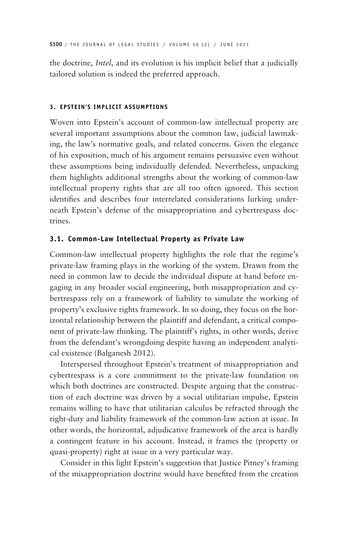the doctrine, *Intel*, and its evolution is his implicit belief that a judicially tailored solution is indeed the preferred approach.

#### **3. EPSTEIN'S IMPLICIT ASSUMPTIONS**

Woven into Epstein's account of common-law intellectual property are several important assumptions about the common law, judicial lawmaking, the law's normative goals, and related concerns. Given the elegance of his exposition, much of his argument remains persuasive even without these assumptions being individually defended. Nevertheless, unpacking them highlights additional strengths about the working of common-law intellectual property rights that are all too often ignored. This section identifies and describes four interrelated considerations lurking underneath Epstein's defense of the misappropriation and cybertrespass doctrines.

# **3.1. Common-Law Intellectual Property as Private Law**

Common-law intellectual property highlights the role that the regime's private-law framing plays in the working of the system. Drawn from the need in common law to decide the individual dispute at hand before engaging in any broader social engineering, both misappropriation and cybertrespass rely on a framework of liability to simulate the working of property's exclusive rights framework. In so doing, they focus on the horizontal relationship between the plaintiff and defendant, a critical component of private-law thinking. The plaintiff's rights, in other words, derive from the defendant's wrongdoing despite having an independent analytical existence (Balganesh 2012).

Interspersed throughout Epstein's treatment of misappropriation and cybertrespass is a core commitment to the private-law foundation on which both doctrines are constructed. Despite arguing that the construction of each doctrine was driven by a social utilitarian impulse, Epstein remains willing to have that utilitarian calculus be refracted through the right-duty and liability framework of the common-law action at issue. In other words, the horizontal, adjudicative framework of the area is hardly a contingent feature in his account. Instead, it frames the (property or quasi-property) right at issue in a very particular way.

Consider in this light Epstein's suggestion that Justice Pitney's framing of the misappropriation doctrine would have benefited from the creation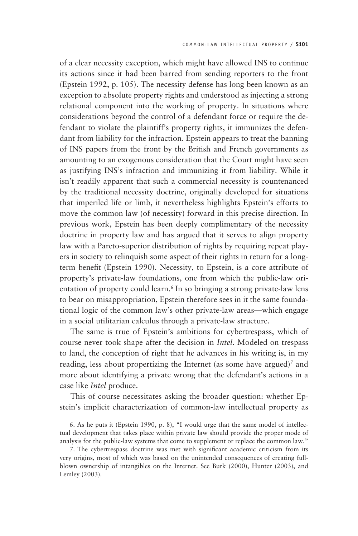of a clear necessity exception, which might have allowed INS to continue its actions since it had been barred from sending reporters to the front (Epstein 1992, p. 105). The necessity defense has long been known as an exception to absolute property rights and understood as injecting a strong relational component into the working of property. In situations where considerations beyond the control of a defendant force or require the defendant to violate the plaintiff's property rights, it immunizes the defendant from liability for the infraction. Epstein appears to treat the banning of INS papers from the front by the British and French governments as amounting to an exogenous consideration that the Court might have seen as justifying INS's infraction and immunizing it from liability. While it isn't readily apparent that such a commercial necessity is countenanced by the traditional necessity doctrine, originally developed for situations that imperiled life or limb, it nevertheless highlights Epstein's efforts to move the common law (of necessity) forward in this precise direction. In previous work, Epstein has been deeply complimentary of the necessity doctrine in property law and has argued that it serves to align property law with a Pareto-superior distribution of rights by requiring repeat players in society to relinquish some aspect of their rights in return for a longterm benefit (Epstein 1990). Necessity, to Epstein, is a core attribute of property's private-law foundations, one from which the public-law orientation of property could learn.<sup>6</sup> In so bringing a strong private-law lens to bear on misappropriation, Epstein therefore sees in it the same foundational logic of the common law's other private-law areas—which engage in a social utilitarian calculus through a private-law structure.

The same is true of Epstein's ambitions for cybertrespass, which of course never took shape after the decision in *Intel*. Modeled on trespass to land, the conception of right that he advances in his writing is, in my reading, less about propertizing the Internet (as some have argued)<sup>7</sup> and more about identifying a private wrong that the defendant's actions in a case like *Intel* produce.

This of course necessitates asking the broader question: whether Epstein's implicit characterization of common-law intellectual property as

6. As he puts it (Epstein 1990, p. 8), "I would urge that the same model of intellectual development that takes place within private law should provide the proper mode of analysis for the public-law systems that come to supplement or replace the common law."

7. The cybertrespass doctrine was met with significant academic criticism from its very origins, most of which was based on the unintended consequences of creating fullblown ownership of intangibles on the Internet. See Burk (2000), Hunter (2003), and Lemley (2003).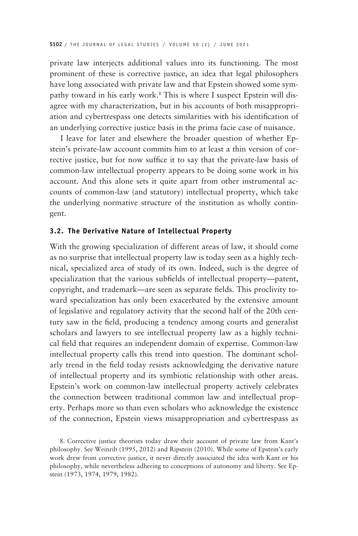private law interjects additional values into its functioning. The most prominent of these is corrective justice, an idea that legal philosophers have long associated with private law and that Epstein showed some sympathy toward in his early work.<sup>8</sup> This is where I suspect Epstein will disagree with my characterization, but in his accounts of both misappropriation and cybertrespass one detects similarities with his identification of an underlying corrective justice basis in the prima facie case of nuisance.

I leave for later and elsewhere the broader question of whether Epstein's private-law account commits him to at least a thin version of corrective justice, but for now suffice it to say that the private-law basis of common-law intellectual property appears to be doing some work in his account. And this alone sets it quite apart from other instrumental accounts of common-law (and statutory) intellectual property, which take the underlying normative structure of the institution as wholly contingent.

## **3.2. The Derivative Nature of Intellectual Property**

With the growing specialization of different areas of law, it should come as no surprise that intellectual property law is today seen as a highly technical, specialized area of study of its own. Indeed, such is the degree of specialization that the various subfields of intellectual property—patent, copyright, and trademark—are seen as separate fields. This proclivity toward specialization has only been exacerbated by the extensive amount of legislative and regulatory activity that the second half of the 20th century saw in the field, producing a tendency among courts and generalist scholars and lawyers to see intellectual property law as a highly technical field that requires an independent domain of expertise. Common-law intellectual property calls this trend into question. The dominant scholarly trend in the field today resists acknowledging the derivative nature of intellectual property and its symbiotic relationship with other areas. Epstein's work on common-law intellectual property actively celebrates the connection between traditional common law and intellectual property. Perhaps more so than even scholars who acknowledge the existence of the connection, Epstein views misappropriation and cybertrespass as

8. Corrective justice theorists today draw their account of private law from Kant's philosophy. See Weinrib (1995, 2012) and Ripstein (2010). While some of Epstein's early work drew from corrective justice, it never directly associated the idea with Kant or his philosophy, while nevertheless adhering to conceptions of autonomy and liberty. See Epstein (1973, 1974, 1979, 1982).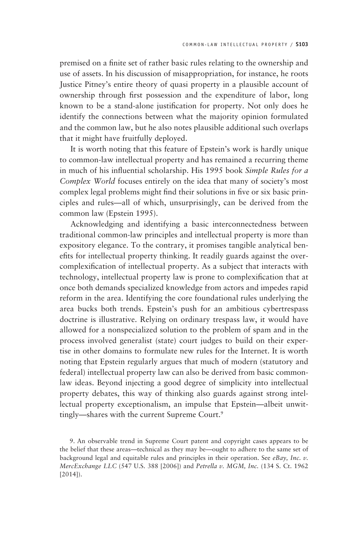premised on a finite set of rather basic rules relating to the ownership and use of assets. In his discussion of misappropriation, for instance, he roots Justice Pitney's entire theory of quasi property in a plausible account of ownership through first possession and the expenditure of labor, long known to be a stand-alone justification for property. Not only does he identify the connections between what the majority opinion formulated and the common law, but he also notes plausible additional such overlaps that it might have fruitfully deployed.

It is worth noting that this feature of Epstein's work is hardly unique to common-law intellectual property and has remained a recurring theme in much of his influential scholarship. His 1995 book *Simple Rules for a Complex World* focuses entirely on the idea that many of society's most complex legal problems might find their solutions in five or six basic principles and rules—all of which, unsurprisingly, can be derived from the common law (Epstein 1995).

Acknowledging and identifying a basic interconnectedness between traditional common-law principles and intellectual property is more than expository elegance. To the contrary, it promises tangible analytical benefits for intellectual property thinking. It readily guards against the overcomplexification of intellectual property. As a subject that interacts with technology, intellectual property law is prone to complexification that at once both demands specialized knowledge from actors and impedes rapid reform in the area. Identifying the core foundational rules underlying the area bucks both trends. Epstein's push for an ambitious cybertrespass doctrine is illustrative. Relying on ordinary trespass law, it would have allowed for a nonspecialized solution to the problem of spam and in the process involved generalist (state) court judges to build on their expertise in other domains to formulate new rules for the Internet. It is worth noting that Epstein regularly argues that much of modern (statutory and federal) intellectual property law can also be derived from basic commonlaw ideas. Beyond injecting a good degree of simplicity into intellectual property debates, this way of thinking also guards against strong intellectual property exceptionalism, an impulse that Epstein—albeit unwittingly—shares with the current Supreme Court.9

9. An observable trend in Supreme Court patent and copyright cases appears to be the belief that these areas—technical as they may be—ought to adhere to the same set of background legal and equitable rules and principles in their operation. See *eBay, Inc. v. MercExchange LLC* (547 U.S. 388 [2006]) and *Petrella v. MGM, Inc.* (134 S. Ct. 1962 [2014]).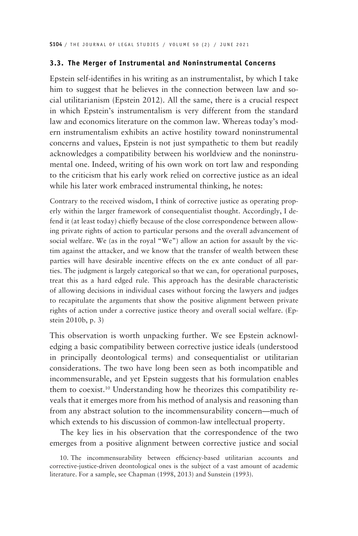# **3.3. The Merger of Instrumental and Noninstrumental Concerns**

Epstein self-identifies in his writing as an instrumentalist, by which I take him to suggest that he believes in the connection between law and social utilitarianism (Epstein 2012). All the same, there is a crucial respect in which Epstein's instrumentalism is very different from the standard law and economics literature on the common law. Whereas today's modern instrumentalism exhibits an active hostility toward noninstrumental concerns and values, Epstein is not just sympathetic to them but readily acknowledges a compatibility between his worldview and the noninstrumental one. Indeed, writing of his own work on tort law and responding to the criticism that his early work relied on corrective justice as an ideal while his later work embraced instrumental thinking, he notes:

Contrary to the received wisdom, I think of corrective justice as operating properly within the larger framework of consequentialist thought. Accordingly, I defend it (at least today) chiefly because of the close correspondence between allowing private rights of action to particular persons and the overall advancement of social welfare. We (as in the royal "We") allow an action for assault by the victim against the attacker, and we know that the transfer of wealth between these parties will have desirable incentive effects on the ex ante conduct of all parties. The judgment is largely categorical so that we can, for operational purposes, treat this as a hard edged rule. This approach has the desirable characteristic of allowing decisions in individual cases without forcing the lawyers and judges to recapitulate the arguments that show the positive alignment between private rights of action under a corrective justice theory and overall social welfare. (Epstein 2010b, p. 3)

This observation is worth unpacking further. We see Epstein acknowledging a basic compatibility between corrective justice ideals (understood in principally deontological terms) and consequentialist or utilitarian considerations. The two have long been seen as both incompatible and incommensurable, and yet Epstein suggests that his formulation enables them to coexist.10 Understanding how he theorizes this compatibility reveals that it emerges more from his method of analysis and reasoning than from any abstract solution to the incommensurability concern—much of which extends to his discussion of common-law intellectual property.

The key lies in his observation that the correspondence of the two emerges from a positive alignment between corrective justice and social

<sup>10.</sup> The incommensurability between efficiency-based utilitarian accounts and corrective-justice-driven deontological ones is the subject of a vast amount of academic literature. For a sample, see Chapman (1998, 2013) and Sunstein (1993).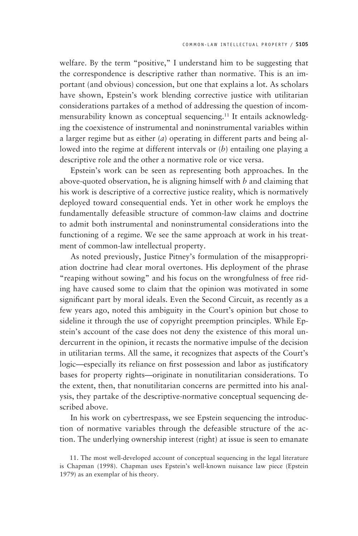welfare. By the term "positive," I understand him to be suggesting that the correspondence is descriptive rather than normative. This is an important (and obvious) concession, but one that explains a lot. As scholars have shown, Epstein's work blending corrective justice with utilitarian considerations partakes of a method of addressing the question of incommensurability known as conceptual sequencing.<sup>11</sup> It entails acknowledging the coexistence of instrumental and noninstrumental variables within a larger regime but as either (*a*) operating in different parts and being allowed into the regime at different intervals or (*b*) entailing one playing a descriptive role and the other a normative role or vice versa.

Epstein's work can be seen as representing both approaches. In the above-quoted observation, he is aligning himself with *b* and claiming that his work is descriptive of a corrective justice reality, which is normatively deployed toward consequential ends. Yet in other work he employs the fundamentally defeasible structure of common-law claims and doctrine to admit both instrumental and noninstrumental considerations into the functioning of a regime. We see the same approach at work in his treatment of common-law intellectual property.

As noted previously, Justice Pitney's formulation of the misappropriation doctrine had clear moral overtones. His deployment of the phrase "reaping without sowing" and his focus on the wrongfulness of free riding have caused some to claim that the opinion was motivated in some significant part by moral ideals. Even the Second Circuit, as recently as a few years ago, noted this ambiguity in the Court's opinion but chose to sideline it through the use of copyright preemption principles. While Epstein's account of the case does not deny the existence of this moral undercurrent in the opinion, it recasts the normative impulse of the decision in utilitarian terms. All the same, it recognizes that aspects of the Court's logic—especially its reliance on first possession and labor as justificatory bases for property rights—originate in nonutilitarian considerations. To the extent, then, that nonutilitarian concerns are permitted into his analysis, they partake of the descriptive-normative conceptual sequencing described above.

In his work on cybertrespass, we see Epstein sequencing the introduction of normative variables through the defeasible structure of the action. The underlying ownership interest (right) at issue is seen to emanate

<sup>11.</sup> The most well-developed account of conceptual sequencing in the legal literature is Chapman (1998). Chapman uses Epstein's well-known nuisance law piece (Epstein 1979) as an exemplar of his theory.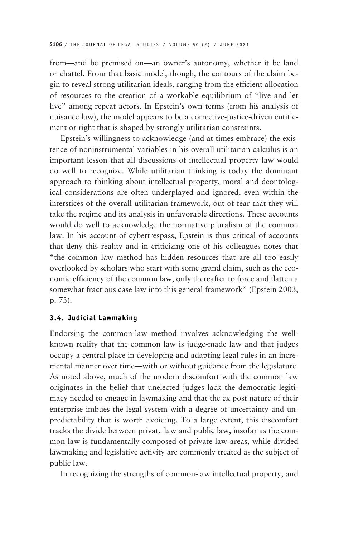from—and be premised on—an owner's autonomy, whether it be land or chattel. From that basic model, though, the contours of the claim begin to reveal strong utilitarian ideals, ranging from the efficient allocation of resources to the creation of a workable equilibrium of "live and let live" among repeat actors. In Epstein's own terms (from his analysis of nuisance law), the model appears to be a corrective-justice-driven entitlement or right that is shaped by strongly utilitarian constraints.

Epstein's willingness to acknowledge (and at times embrace) the existence of noninstrumental variables in his overall utilitarian calculus is an important lesson that all discussions of intellectual property law would do well to recognize. While utilitarian thinking is today the dominant approach to thinking about intellectual property, moral and deontological considerations are often underplayed and ignored, even within the interstices of the overall utilitarian framework, out of fear that they will take the regime and its analysis in unfavorable directions. These accounts would do well to acknowledge the normative pluralism of the common law. In his account of cybertrespass, Epstein is thus critical of accounts that deny this reality and in criticizing one of his colleagues notes that "the common law method has hidden resources that are all too easily overlooked by scholars who start with some grand claim, such as the economic efficiency of the common law, only thereafter to force and flatten a somewhat fractious case law into this general framework" (Epstein 2003, p. 73).

# **3.4. Judicial Lawmaking**

Endorsing the common-law method involves acknowledging the wellknown reality that the common law is judge-made law and that judges occupy a central place in developing and adapting legal rules in an incremental manner over time—with or without guidance from the legislature. As noted above, much of the modern discomfort with the common law originates in the belief that unelected judges lack the democratic legitimacy needed to engage in lawmaking and that the ex post nature of their enterprise imbues the legal system with a degree of uncertainty and unpredictability that is worth avoiding. To a large extent, this discomfort tracks the divide between private law and public law, insofar as the common law is fundamentally composed of private-law areas, while divided lawmaking and legislative activity are commonly treated as the subject of public law.

In recognizing the strengths of common-law intellectual property, and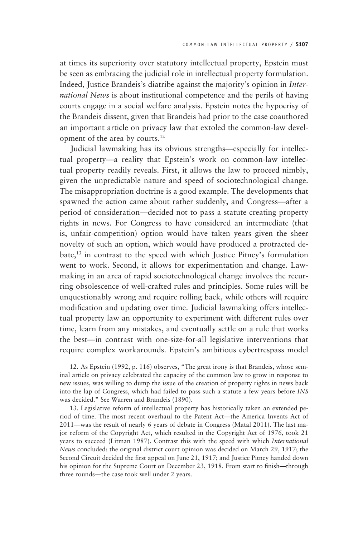at times its superiority over statutory intellectual property, Epstein must be seen as embracing the judicial role in intellectual property formulation. Indeed, Justice Brandeis's diatribe against the majority's opinion in *International News* is about institutional competence and the perils of having courts engage in a social welfare analysis. Epstein notes the hypocrisy of the Brandeis dissent, given that Brandeis had prior to the case coauthored an important article on privacy law that extoled the common-law development of the area by courts.12

Judicial lawmaking has its obvious strengths—especially for intellectual property—a reality that Epstein's work on common-law intellectual property readily reveals. First, it allows the law to proceed nimbly, given the unpredictable nature and speed of sociotechnological change. The misappropriation doctrine is a good example. The developments that spawned the action came about rather suddenly, and Congress—after a period of consideration—decided not to pass a statute creating property rights in news. For Congress to have considered an intermediate (that is, unfair-competition) option would have taken years given the sheer novelty of such an option, which would have produced a protracted debate,13 in contrast to the speed with which Justice Pitney's formulation went to work. Second, it allows for experimentation and change. Lawmaking in an area of rapid sociotechnological change involves the recurring obsolescence of well-crafted rules and principles. Some rules will be unquestionably wrong and require rolling back, while others will require modification and updating over time. Judicial lawmaking offers intellectual property law an opportunity to experiment with different rules over time, learn from any mistakes, and eventually settle on a rule that works the best—in contrast with one-size-for-all legislative interventions that require complex workarounds. Epstein's ambitious cybertrespass model

12. As Epstein (1992, p. 116) observes, "The great irony is that Brandeis, whose seminal article on privacy celebrated the capacity of the common law to grow in response to new issues, was willing to dump the issue of the creation of property rights in news back into the lap of Congress, which had failed to pass such a statute a few years before *INS* was decided." See Warren and Brandeis (1890).

13. Legislative reform of intellectual property has historically taken an extended period of time. The most recent overhaul to the Patent Act—the America Invents Act of 2011—was the result of nearly 6 years of debate in Congress (Matal 2011). The last major reform of the Copyright Act, which resulted in the Copyright Act of 1976, took 21 years to succeed (Litman 1987). Contrast this with the speed with which *International News* concluded: the original district court opinion was decided on March 29, 1917; the Second Circuit decided the first appeal on June 21, 1917; and Justice Pitney handed down his opinion for the Supreme Court on December 23, 1918. From start to finish—through three rounds—the case took well under 2 years.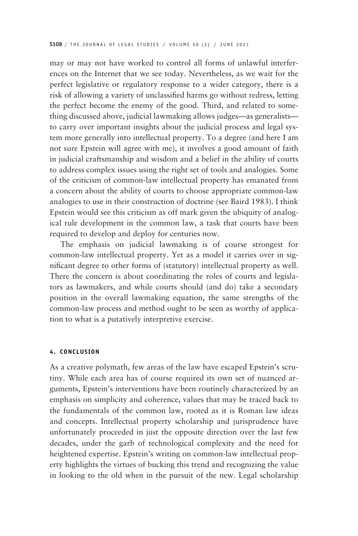may or may not have worked to control all forms of unlawful interferences on the Internet that we see today. Nevertheless, as we wait for the perfect legislative or regulatory response to a wider category, there is a risk of allowing a variety of unclassified harms go without redress, letting the perfect become the enemy of the good. Third, and related to something discussed above, judicial lawmaking allows judges—as generalists to carry over important insights about the judicial process and legal system more generally into intellectual property. To a degree (and here I am not sure Epstein will agree with me), it involves a good amount of faith in judicial craftsmanship and wisdom and a belief in the ability of courts to address complex issues using the right set of tools and analogies. Some of the criticism of common-law intellectual property has emanated from a concern about the ability of courts to choose appropriate common-law analogies to use in their construction of doctrine (see Baird 1983). I think Epstein would see this criticism as off mark given the ubiquity of analogical rule development in the common law, a task that courts have been required to develop and deploy for centuries now.

The emphasis on judicial lawmaking is of course strongest for common-law intellectual property. Yet as a model it carries over in significant degree to other forms of (statutory) intellectual property as well. There the concern is about coordinating the roles of courts and legislators as lawmakers, and while courts should (and do) take a secondary position in the overall lawmaking equation, the same strengths of the common-law process and method ought to be seen as worthy of application to what is a putatively interpretive exercise.

#### **4. CONCLUSION**

As a creative polymath, few areas of the law have escaped Epstein's scrutiny. While each area has of course required its own set of nuanced arguments, Epstein's interventions have been routinely characterized by an emphasis on simplicity and coherence, values that may be traced back to the fundamentals of the common law, rooted as it is Roman law ideas and concepts. Intellectual property scholarship and jurisprudence have unfortunately proceeded in just the opposite direction over the last few decades, under the garb of technological complexity and the need for heightened expertise. Epstein's writing on common-law intellectual property highlights the virtues of bucking this trend and recognizing the value in looking to the old when in the pursuit of the new. Legal scholarship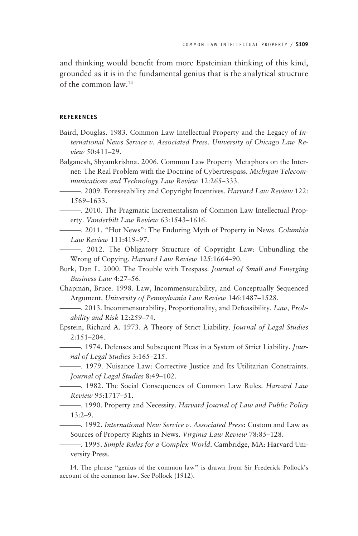and thinking would benefit from more Epsteinian thinking of this kind, grounded as it is in the fundamental genius that is the analytical structure of the common law.14

# **REFERENCES**

- Baird, Douglas. 1983. Common Law Intellectual Property and the Legacy of *International News Service v. Associated Press*. *University of Chicago Law Review* 50:411–29.
- Balganesh, Shyamkrishna. 2006. Common Law Property Metaphors on the Internet: The Real Problem with the Doctrine of Cybertrespass. *Michigan Telecommunications and Technology Law Review* 12:265–333.
	- ———. 2009. Foreseeability and Copyright Incentives. *Harvard Law Review* 122: 1569–1633.
	- ———. 2010. The Pragmatic Incrementalism of Common Law Intellectual Property. *Vanderbilt Law Review* 63:1543–1616.
- ———. 2011. "Hot News": The Enduring Myth of Property in News. *Columbia Law Review* 111:419–97.
- ———. 2012. The Obligatory Structure of Copyright Law: Unbundling the Wrong of Copying. *Harvard Law Review* 125:1664–90.
- Burk, Dan L. 2000. The Trouble with Trespass. *Journal of Small and Emerging Business Law* 4:27–56.
- Chapman, Bruce. 1998. Law, Incommensurability, and Conceptually Sequenced Argument. *University of Pennsylvania Law Review* 146:1487–1528.
	- $-$ , 2013. Incommensurability, Proportionality, and Defeasibility. *Law*, *Probability and Risk* 12:259–74.
- Epstein, Richard A. 1973. A Theory of Strict Liability. *Journal of Legal Studies* 2:151–204.
- ———. 1974. Defenses and Subsequent Pleas in a System of Strict Liability. *Journal of Legal Studies* 3:165–215.
- ———. 1979. Nuisance Law: Corrective Justice and Its Utilitarian Constraints. *Journal of Legal Studies* 8:49–102.
	- ———. 1982. The Social Consequences of Common Law Rules. *Harvard Law Review* 95:1717–51.
- ———. 1990. Property and Necessity. *Harvard Journal of Law and Public Policy* 13:2–9.
- ———. 1992. *International New Service v. Associated Press*: Custom and Law as Sources of Property Rights in News. *Virginia Law Review* 78:85–128.
	- ———. 1995. *Simple Rules for a Complex World*. Cambridge, MA: Harvard University Press.

14. The phrase "genius of the common law" is drawn from Sir Frederick Pollock's account of the common law. See Pollock (1912).